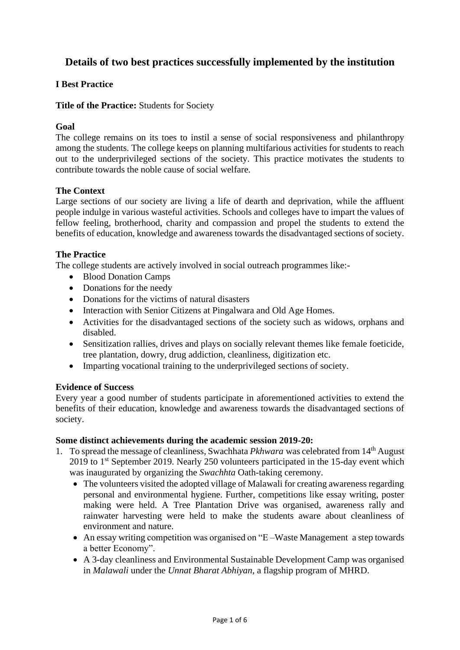# **Details of two best practices successfully implemented by the institution**

## **I Best Practice**

**Title of the Practice:** Students for Society

## **Goal**

The college remains on its toes to instil a sense of social responsiveness and philanthropy among the students. The college keeps on planning multifarious activities for students to reach out to the underprivileged sections of the society. This practice motivates the students to contribute towards the noble cause of social welfare.

## **The Context**

Large sections of our society are living a life of dearth and deprivation, while the affluent people indulge in various wasteful activities. Schools and colleges have to impart the values of fellow feeling, brotherhood, charity and compassion and propel the students to extend the benefits of education, knowledge and awareness towards the disadvantaged sections of society.

## **The Practice**

The college students are actively involved in social outreach programmes like:-

- Blood Donation Camps
- Donations for the needy
- Donations for the victims of natural disasters
- Interaction with Senior Citizens at Pingalwara and Old Age Homes.
- Activities for the disadvantaged sections of the society such as widows, orphans and disabled.
- Sensitization rallies, drives and plays on socially relevant themes like female foeticide, tree plantation, dowry, drug addiction, cleanliness, digitization etc.
- Imparting vocational training to the underprivileged sections of society.

## **Evidence of Success**

Every year a good number of students participate in aforementioned activities to extend the benefits of their education, knowledge and awareness towards the disadvantaged sections of society.

## **Some distinct achievements during the academic session 2019-20:**

- 1. To spread the message of cleanliness, Swachhata *Pkhwara* was celebrated from 14th August 2019 to 1<sup>st</sup> September 2019. Nearly 250 volunteers participated in the 15-day event which was inaugurated by organizing the *Swachhta* Oath-taking ceremony.
	- The volunteers visited the adopted village of Malawali for creating awareness regarding personal and environmental hygiene. Further, competitions like essay writing, poster making were held. A Tree Plantation Drive was organised, awareness rally and rainwater harvesting were held to make the students aware about cleanliness of environment and nature.
	- An essay writing competition was organised on "E –Waste Management a step towards" a better Economy".
	- A 3-day cleanliness and Environmental Sustainable Development Camp was organised in *Malawali* under the *Unnat Bharat Abhiyan*, a flagship program of MHRD.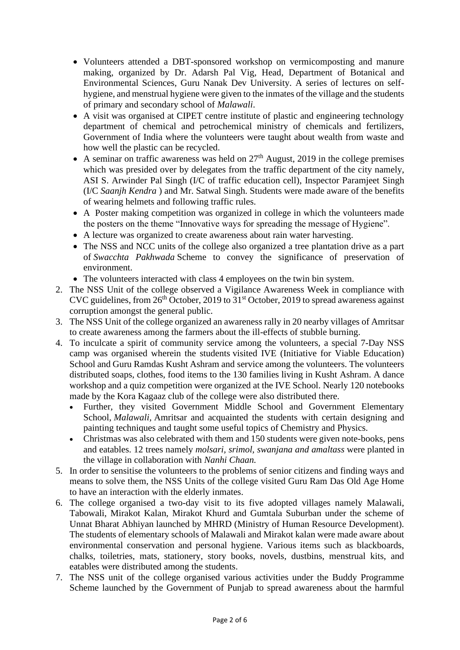- Volunteers attended a DBT-sponsored workshop on vermicomposting and manure making, organized by Dr. Adarsh Pal Vig, Head, Department of Botanical and Environmental Sciences, Guru Nanak Dev University. A series of lectures on selfhygiene, and menstrual hygiene were given to the inmates of the village and the students of primary and secondary school of *Malawali*.
- A visit was organised at CIPET centre institute of plastic and engineering technology department of chemical and petrochemical ministry of chemicals and fertilizers, Government of India where the volunteers were taught about wealth from waste and how well the plastic can be recycled.
- A seminar on traffic awareness was held on  $27<sup>th</sup>$  August, 2019 in the college premises which was presided over by delegates from the traffic department of the city namely, ASI S. Arwinder Pal Singh (I/C of traffic education cell), Inspector Paramjeet Singh (I/C *Saanjh Kendra* ) and Mr. Satwal Singh. Students were made aware of the benefits of wearing helmets and following traffic rules.
- A Poster making competition was organized in college in which the volunteers made the posters on the theme "Innovative ways for spreading the message of Hygiene".
- A lecture was organized to create awareness about rain water harvesting.
- The NSS and NCC units of the college also organized a tree plantation drive as a part of *Swacchta Pakhwada* Scheme to convey the significance of preservation of environment.
- The volunteers interacted with class 4 employees on the twin bin system.
- 2. The NSS Unit of the college observed a Vigilance Awareness Week in compliance with CVC guidelines, from  $26<sup>th</sup>$  October, 2019 to 31<sup>st</sup> October, 2019 to spread awareness against corruption amongst the general public.
- 3. The NSS Unit of the college organized an awareness rally in 20 nearby villages of Amritsar to create awareness among the farmers about the ill-effects of stubble burning.
- 4. To inculcate a spirit of community service among the volunteers, a special 7-Day NSS camp was organised wherein the students visited IVE (Initiative for Viable Education) School and Guru Ramdas Kusht Ashram and service among the volunteers. The volunteers distributed soaps, clothes, food items to the 130 families living in Kusht Ashram. A dance workshop and a quiz competition were organized at the IVE School. Nearly 120 notebooks made by the Kora Kagaaz club of the college were also distributed there.
	- Further, they visited Government Middle School and Government Elementary School, *Malawali,* Amritsar and acquainted the students with certain designing and painting techniques and taught some useful topics of Chemistry and Physics.
	- Christmas was also celebrated with them and 150 students were given note-books, pens and eatables. 12 trees namely *molsari, srimol, swanjana and amaltass* were planted in the village in collaboration with *Nanhi Chaan.*
- 5. In order to sensitise the volunteers to the problems of senior citizens and finding ways and means to solve them, the NSS Units of the college visited Guru Ram Das Old Age Home to have an interaction with the elderly inmates.
- 6. The college organised a two-day visit to its five adopted villages namely Malawali, Tabowali, Mirakot Kalan, Mirakot Khurd and Gumtala Suburban under the scheme of Unnat Bharat Abhiyan launched by MHRD (Ministry of Human Resource Development). The students of elementary schools of Malawali and Mirakot kalan were made aware about environmental conservation and personal hygiene. Various items such as blackboards, chalks, toiletries, mats, stationery, story books, novels, dustbins, menstrual kits, and eatables were distributed among the students.
- 7. The NSS unit of the college organised various activities under the Buddy Programme Scheme launched by the Government of Punjab to spread awareness about the harmful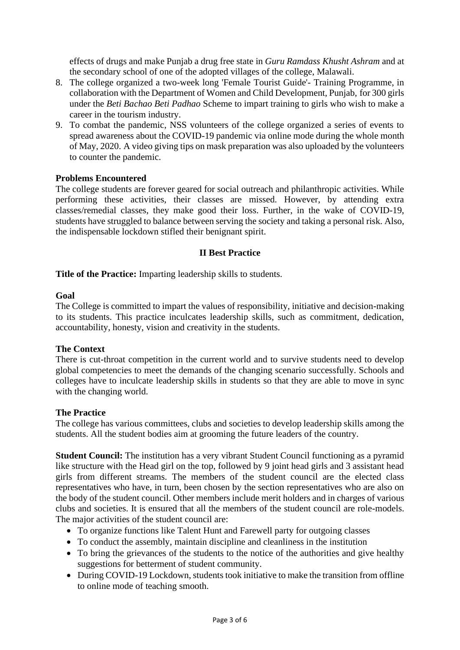effects of drugs and make Punjab a drug free state in *Guru Ramdass Khusht Ashram* and at the secondary school of one of the adopted villages of the college, Malawali.

- 8. The college organized a two-week long 'Female Tourist Guide'- Training Programme, in collaboration with the Department of Women and Child Development, Punjab, for 300 girls under the *Beti Bachao Beti Padhao* Scheme to impart training to girls who wish to make a career in the tourism industry.
- 9. To combat the pandemic, NSS volunteers of the college organized a series of events to spread awareness about the COVID-19 pandemic via online mode during the whole month of May, 2020. A video giving tips on mask preparation was also uploaded by the volunteers to counter the pandemic.

## **Problems Encountered**

The college students are forever geared for social outreach and philanthropic activities. While performing these activities, their classes are missed. However, by attending extra classes/remedial classes, they make good their loss. Further, in the wake of COVID-19, students have struggled to balance between serving the society and taking a personal risk. Also, the indispensable lockdown stifled their benignant spirit.

## **II Best Practice**

**Title of the Practice:** Imparting leadership skills to students.

## **Goal**

The College is committed to impart the values of responsibility, initiative and decision-making to its students. This practice inculcates leadership skills, such as commitment, dedication, accountability, honesty, vision and creativity in the students.

## **The Context**

There is cut-throat competition in the current world and to survive students need to develop global competencies to meet the demands of the changing scenario successfully. Schools and colleges have to inculcate leadership skills in students so that they are able to move in sync with the changing world.

## **The Practice**

The college has various committees, clubs and societies to develop leadership skills among the students. All the student bodies aim at grooming the future leaders of the country.

**Student Council:** The institution has a very vibrant Student Council functioning as a pyramid like structure with the Head girl on the top, followed by 9 joint head girls and 3 assistant head girls from different streams. The members of the student council are the elected class representatives who have, in turn, been chosen by the section representatives who are also on the body of the student council. Other members include merit holders and in charges of various clubs and societies. It is ensured that all the members of the student council are role-models. The major activities of the student council are:

- To organize functions like Talent Hunt and Farewell party for outgoing classes
- To conduct the assembly, maintain discipline and cleanliness in the institution
- To bring the grievances of the students to the notice of the authorities and give healthy suggestions for betterment of student community.
- During COVID-19 Lockdown, students took initiative to make the transition from offline to online mode of teaching smooth.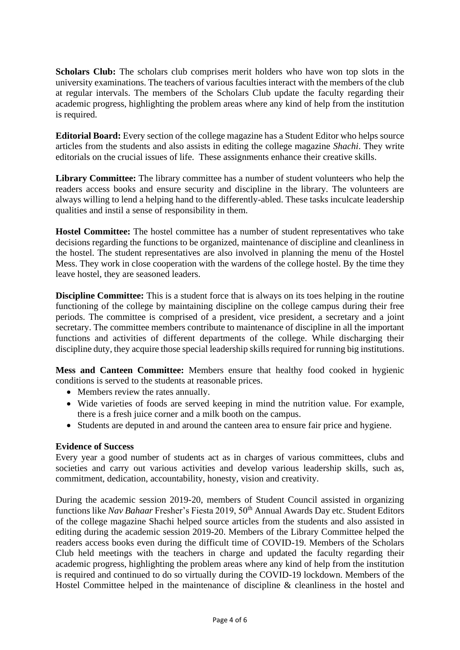**Scholars Club:** The scholars club comprises merit holders who have won top slots in the university examinations. The teachers of various faculties interact with the members of the club at regular intervals. The members of the Scholars Club update the faculty regarding their academic progress, highlighting the problem areas where any kind of help from the institution is required.

**Editorial Board:** Every section of the college magazine has a Student Editor who helps source articles from the students and also assists in editing the college magazine *Shachi*. They write editorials on the crucial issues of life. These assignments enhance their creative skills.

**Library Committee:** The library committee has a number of student volunteers who help the readers access books and ensure security and discipline in the library. The volunteers are always willing to lend a helping hand to the differently-abled. These tasks inculcate leadership qualities and instil a sense of responsibility in them.

**Hostel Committee:** The hostel committee has a number of student representatives who take decisions regarding the functions to be organized, maintenance of discipline and cleanliness in the hostel. The student representatives are also involved in planning the menu of the Hostel Mess. They work in close cooperation with the wardens of the college hostel. By the time they leave hostel, they are seasoned leaders.

**Discipline Committee:** This is a student force that is always on its toes helping in the routine functioning of the college by maintaining discipline on the college campus during their free periods. The committee is comprised of a president, vice president, a secretary and a joint secretary. The committee members contribute to maintenance of discipline in all the important functions and activities of different departments of the college. While discharging their discipline duty, they acquire those special leadership skills required for running big institutions.

**Mess and Canteen Committee:** Members ensure that healthy food cooked in hygienic conditions is served to the students at reasonable prices.

- Members review the rates annually.
- Wide varieties of foods are served keeping in mind the nutrition value. For example, there is a fresh juice corner and a milk booth on the campus.
- Students are deputed in and around the canteen area to ensure fair price and hygiene.

## **Evidence of Success**

Every year a good number of students act as in charges of various committees, clubs and societies and carry out various activities and develop various leadership skills, such as, commitment, dedication, accountability, honesty, vision and creativity.

During the academic session 2019-20, members of Student Council assisted in organizing functions like *Nav Bahaar* Fresher's Fiesta 2019, 50<sup>th</sup> Annual Awards Day etc. Student Editors of the college magazine Shachi helped source articles from the students and also assisted in editing during the academic session 2019-20. Members of the Library Committee helped the readers access books even during the difficult time of COVID-19. Members of the Scholars Club held meetings with the teachers in charge and updated the faculty regarding their academic progress, highlighting the problem areas where any kind of help from the institution is required and continued to do so virtually during the COVID-19 lockdown. Members of the Hostel Committee helped in the maintenance of discipline & cleanliness in the hostel and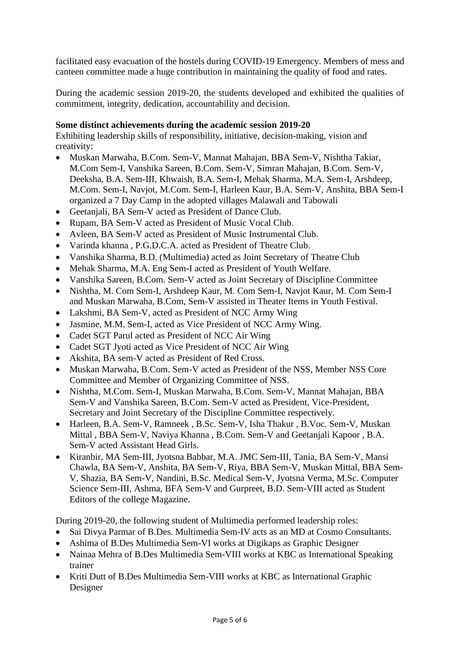facilitated easy evacuation of the hostels during COVID-19 Emergency. Members of mess and canteen committee made a huge contribution in maintaining the quality of food and rates.

During the academic session 2019-20, the students developed and exhibited the qualities of commitment, integrity, dedication, accountability and decision.

## **Some distinct achievements during the academic session 2019-20**

Exhibiting leadership skills of responsibility, initiative, decision-making, vision and creativity:

- Muskan Marwaha, B.Com. Sem-V, Mannat Mahajan, BBA Sem-V, Nishtha Takiar, M.Com Sem-I, Vanshika Sareen, B.Com. Sem-V, Simran Mahajan, B.Com. Sem-V, Deeksha, B.A. Sem-III, Khwaish, B.A. Sem-I, Mehak Sharma, M.A. Sem-I, Arshdeep, M.Com. Sem-I, Navjot, M.Com. Sem-I, Harleen Kaur, B.A. Sem-V, Anshita, BBA Sem-I organized a 7 Day Camp in the adopted villages Malawali and Tabowali
- Geetanjali, BA Sem-V acted as President of Dance Club.
- Rupam, BA Sem-V acted as President of Music Vocal Club.
- Avleen, BA Sem-V acted as President of Music Instrumental Club.
- Varinda khanna , P.G.D.C.A. acted as President of Theatre Club.
- Vanshika Sharma, B.D. (Multimedia) acted as Joint Secretary of Theatre Club
- Mehak Sharma, M.A. Eng Sem-I acted as President of Youth Welfare.
- Vanshika Sareen, B.Com. Sem-V acted as Joint Secretary of Discipline Committee
- Nishtha, M. Com Sem-I, Arshdeep Kaur, M. Com Sem-I, Navjot Kaur, M. Com Sem-I and Muskan Marwaha, B.Com, Sem-V assisted in Theater Items in Youth Festival.
- Lakshmi, BA Sem-V, acted as President of NCC Army Wing
- Jasmine, M.M. Sem-I, acted as Vice President of NCC Army Wing.
- Cadet SGT Parul acted as President of NCC Air Wing
- Cadet SGT Jyoti acted as Vice President of NCC Air Wing
- Akshita, BA sem-V acted as President of Red Cross.
- Muskan Marwaha, B.Com. Sem-V acted as President of the NSS, Member NSS Core Committee and Member of Organizing Committee of NSS.
- Nishtha, M.Com. Sem-I, Muskan Marwaha, B.Com. Sem-V, Mannat Mahajan, BBA Sem-V and Vanshika Sareen, B.Com. Sem-V acted as President, Vice-President, Secretary and Joint Secretary of the Discipline Committee respectively.
- Harleen, B.A. Sem-V, Ramneek , B.Sc. Sem-V, Isha Thakur , B.Voc. Sem-V, Muskan Mittal , BBA Sem-V, Naviya Khanna , B.Com. Sem-V and Geetanjali Kapoor , B.A. Sem-V acted Assistant Head Girls.
- Kiranbir, MA Sem-III, Jyotsna Babbar, M.A. JMC Sem-III, Tania, BA Sem-V, Mansi Chawla, BA Sem-V, Anshita, BA Sem-V, Riya, BBA Sem-V, Muskan Mittal, BBA Sem-V, Shazia, BA Sem-V, Nandini, B.Sc. Medical Sem-V, Jyotsna Verma, M.Sc. Computer Science Sem-III, Ashma, BFA Sem-V and Gurpreet, B.D. Sem-VIII acted as Student Editors of the college Magazine.

During 2019-20, the following student of Multimedia performed leadership roles:

- Sai Divya Parmar of B.Des. Multimedia Sem-IV acts as an MD at Cosmo Consultants.
- Ashima of B.Des Multimedia Sem-VI works at Digikaps as Graphic Designer
- Nainaa Mehra of B.Des Multimedia Sem-VIII works at KBC as International Speaking trainer
- Kriti Dutt of B.Des Multimedia Sem-VIII works at KBC as International Graphic Designer